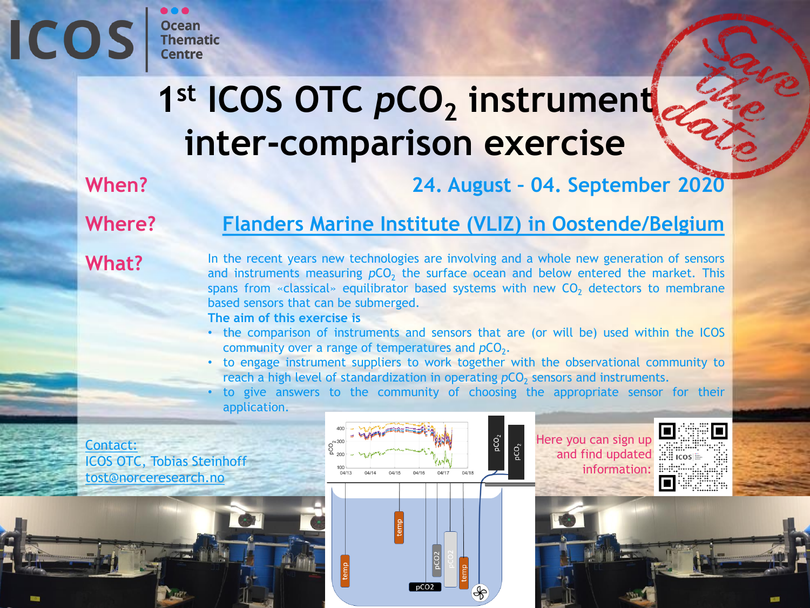# **ICOS**

# 1<sup>st</sup> ICOS OTC pCO<sub>2</sub> instrument **inter-comparison exercise**

**When?**

 $\bullet\bullet\bullet$ 

**Ocean Thematic Centre** 

**24. August – 04. September 2020**

**Where?**

#### **[Flanders Marine Institute \(VLIZ\) in Oostende/Belgium](http://www.vliz.be/)**

#### **What?**

In the recent years new technologies are involving and a whole new generation of sensors and instruments measuring  $pCO_2$  the surface ocean and below entered the market. This spans from «classical» equilibrator based systems with new  $CO<sub>2</sub>$  detectors to membrane based sensors that can be submerged.

**The aim of this exercise is**

- the comparison of instruments and sensors that are (or will be) used within the ICOS community over a range of temperatures and  $pCO<sub>2</sub>$ .
- to engage instrument suppliers to work together with the observational community to reach a high level of standardization in operating pCO<sub>2</sub> sensors and instruments.
- to give answers to the community of choosing the appropriate sensor for their application.

Contact: ICOS OTC, Tobias Steinhoff [tost@norceresearch.no](mailto:tost@norceresearch.no)



Here you can sign up  $\Box$ andfind updated in icos information: **#** 

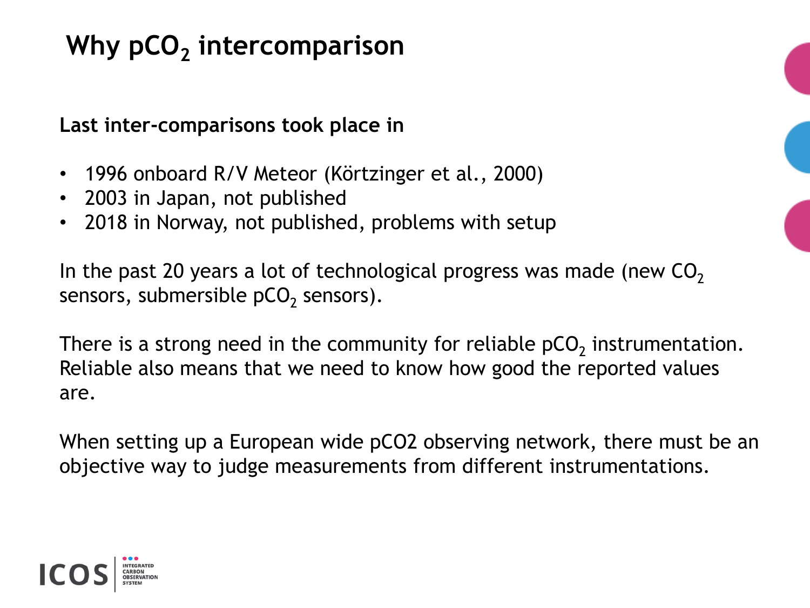# **Why pCO<sup>2</sup> intercomparison**

**Last inter-comparisons took place in** 

- 1996 onboard R/V Meteor (Körtzinger et al., 2000)
- 2003 in Japan, not published
- 2018 in Norway, not published, problems with setup

In the past 20 years a lot of technological progress was made (new  $CO<sub>2</sub>$ ) sensors, submersible pCO<sub>2</sub> sensors).

There is a strong need in the community for reliable pCO<sub>2</sub> instrumentation. Reliable also means that we need to know how good the reported values are.

When setting up a European wide pCO2 observing network, there must be an objective way to judge measurements from different instrumentations.

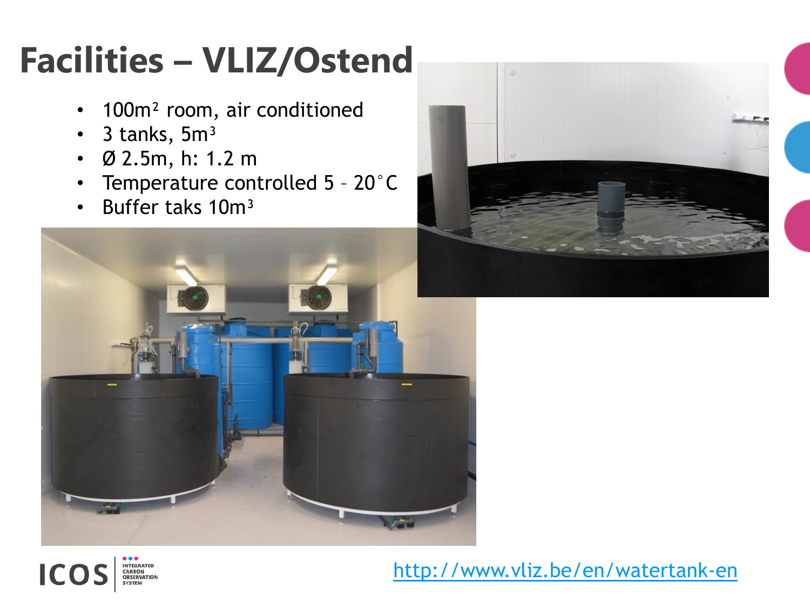# **Facilities – VLIZ/Ostend**

- 100m<sup>2</sup> room, air conditioned
- $\cdot$  3 tanks, 5m<sup>3</sup>

**NTEGRATED** 

**CARBON<br>OBSERVATION** 

ICC

- Ø 2.5m, h: 1.2 m
- Temperature controlled 5 20°C
- Buffer taks 10m<sup>3</sup>





#### <http://www.vliz.be/en/watertank-en>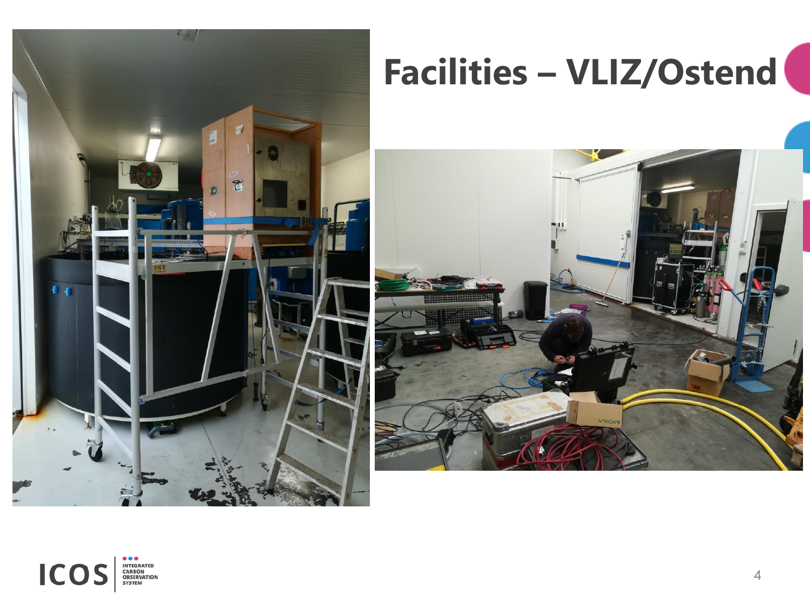

# **Facilities – VLIZ/Ostend**



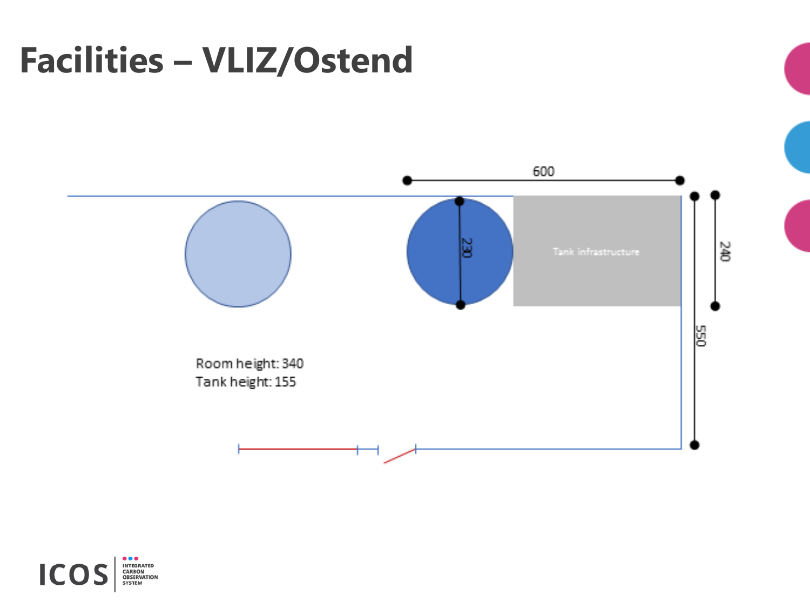# **Facilities – VLIZ/Ostend**



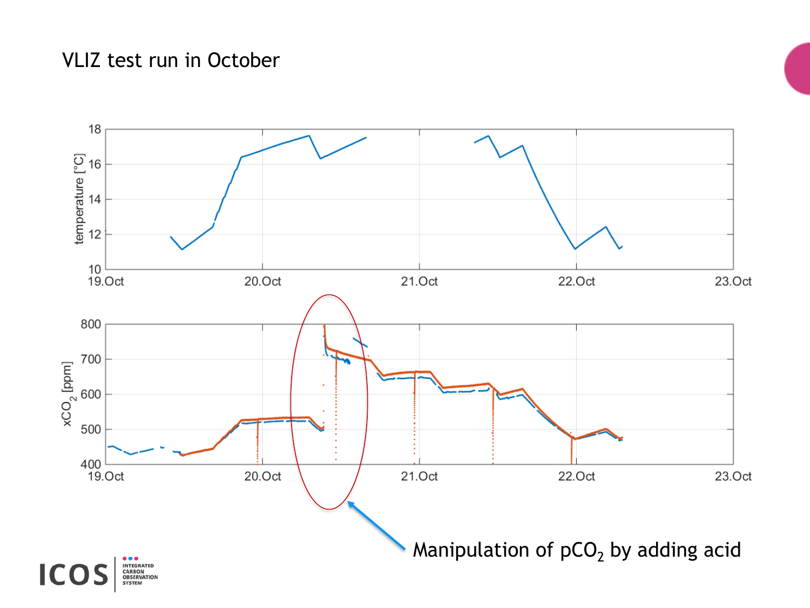#### VLIZ test run in October

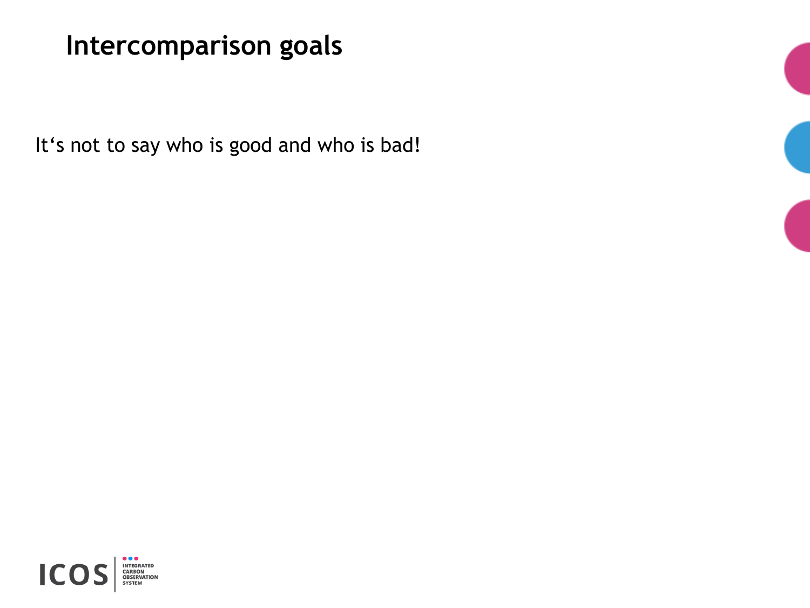It's not to say who is good and who is bad!



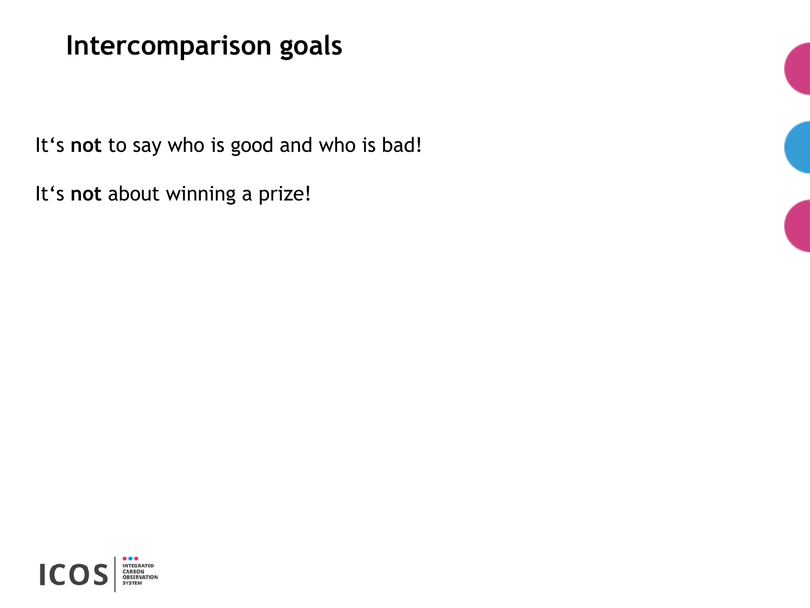It's **not** to say who is good and who is bad!

It's **not** about winning a prize!



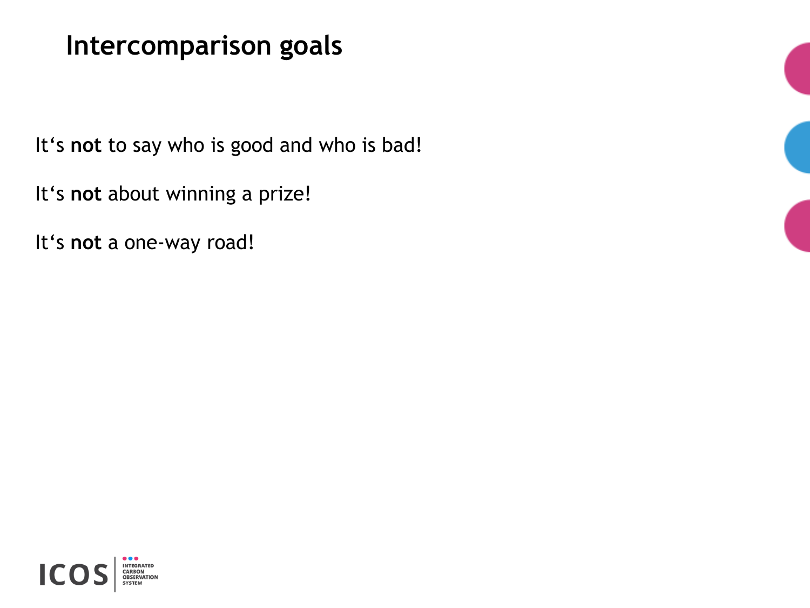It's **not** to say who is good and who is bad!

It's **not** about winning a prize!

It's **not** a one-way road!

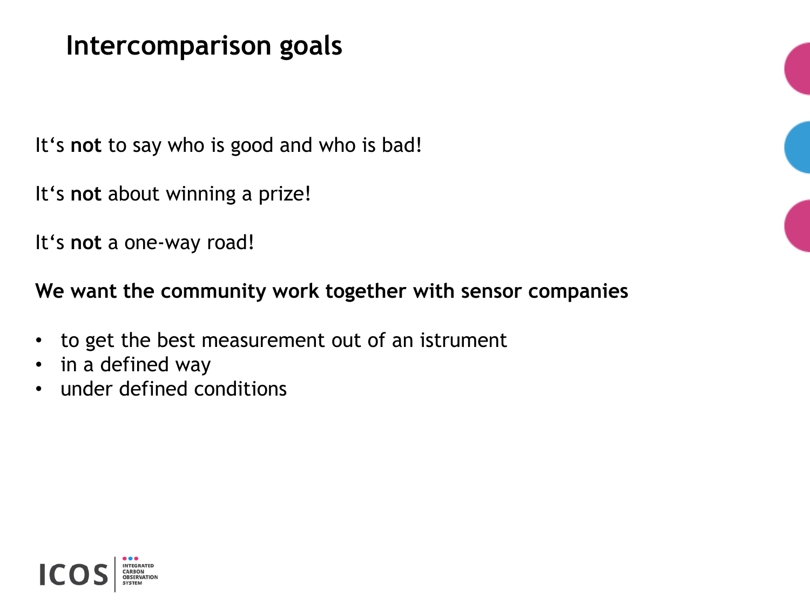It's **not** to say who is good and who is bad!

It's **not** about winning a prize!

It's **not** a one-way road!

**We want the community work together with sensor companies**

- to get the best measurement out of an istrument
- in a defined way
- under defined conditions